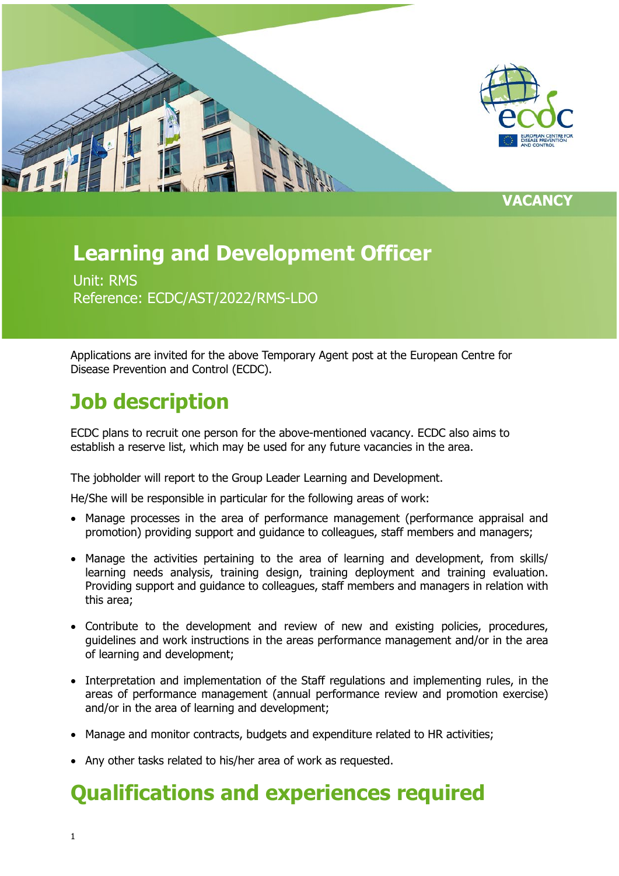

**VACANCY**

### **Learning and Development Officer**

Unit: RMS Reference: ECDC/AST/2022/RMS-LDO

Applications are invited for the above Temporary Agent post at the European Centre for Disease Prevention and Control (ECDC).

## **Job description**

ECDC plans to recruit one person for the above-mentioned vacancy. ECDC also aims to establish a reserve list, which may be used for any future vacancies in the area.

The jobholder will report to the Group Leader Learning and Development.

He/She will be responsible in particular for the following areas of work:

- Manage processes in the area of performance management (performance appraisal and promotion) providing support and guidance to colleagues, staff members and managers;
- Manage the activities pertaining to the area of learning and development, from skills/ learning needs analysis, training design, training deployment and training evaluation. Providing support and guidance to colleagues, staff members and managers in relation with this area;
- Contribute to the development and review of new and existing policies, procedures, guidelines and work instructions in the areas performance management and/or in the area of learning and development;
- Interpretation and implementation of the Staff regulations and implementing rules, in the areas of performance management (annual performance review and promotion exercise) and/or in the area of learning and development;
- Manage and monitor contracts, budgets and expenditure related to HR activities;
- Any other tasks related to his/her area of work as requested.

### **Qualifications and experiences required**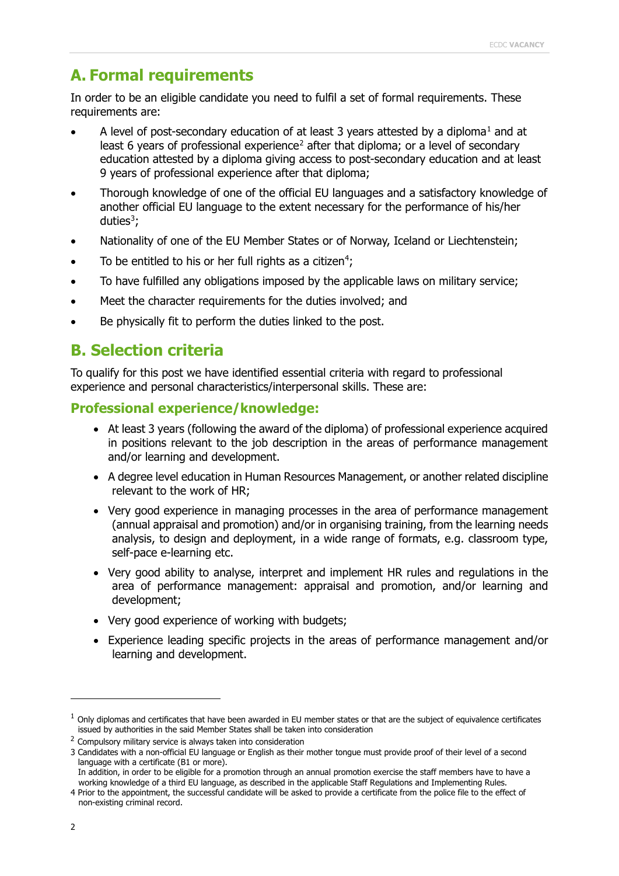### **A. Formal requirements**

In order to be an eligible candidate you need to fulfil a set of formal requirements. These requirements are:

- A level of post-secondary education of at least 3 years attested by a diploma<sup>[1](#page-1-0)</sup> and at least 6 years of professional experience<sup>[2](#page-1-1)</sup> after that diploma; or a level of secondary education attested by a diploma giving access to post-secondary education and at least 9 years of professional experience after that diploma;
- Thorough knowledge of one of the official EU languages and a satisfactory knowledge of another official EU language to the extent necessary for the performance of his/her duties<sup>[3](#page-1-2)</sup>;
- Nationality of one of the EU Member States or of Norway, Iceland or Liechtenstein;
- To be entitled to his or her full rights as a citizen<sup>[4](#page-1-3)</sup>;
- To have fulfilled any obligations imposed by the applicable laws on military service;
- Meet the character requirements for the duties involved; and
- Be physically fit to perform the duties linked to the post.

### **B. Selection criteria**

To qualify for this post we have identified essential criteria with regard to professional experience and personal characteristics/interpersonal skills. These are:

#### **Professional experience/knowledge:**

- At least 3 years (following the award of the diploma) of professional experience acquired in positions relevant to the job description in the areas of performance management and/or learning and development.
- A degree level education in Human Resources Management, or another related discipline relevant to the work of HR;
- Very good experience in managing processes in the area of performance management (annual appraisal and promotion) and/or in organising training, from the learning needs analysis, to design and deployment, in a wide range of formats, e.g. classroom type, self-pace e-learning etc.
- Very good ability to analyse, interpret and implement HR rules and regulations in the area of performance management: appraisal and promotion, and/or learning and development;
- Very good experience of working with budgets;
- Experience leading specific projects in the areas of performance management and/or learning and development.

<span id="page-1-0"></span> $<sup>1</sup>$  Only diplomas and certificates that have been awarded in EU member states or that are the subject of equivalence certificates</sup> issued by authorities in the said Member States shall be taken into consideration

<span id="page-1-1"></span> $2$  Compulsory military service is always taken into consideration

<span id="page-1-2"></span><sup>3</sup> Candidates with a non-official EU language or English as their mother tongue must provide proof of their level of a second language with a certificate (B1 or more).

In addition, in order to be eligible for a promotion through an annual promotion exercise the staff members have to have a working knowledge of a third EU language, as described in the applicable Staff Regulations and Implementing Rules.

<span id="page-1-3"></span><sup>4</sup> Prior to the appointment, the successful candidate will be asked to provide a certificate from the police file to the effect of non-existing criminal record.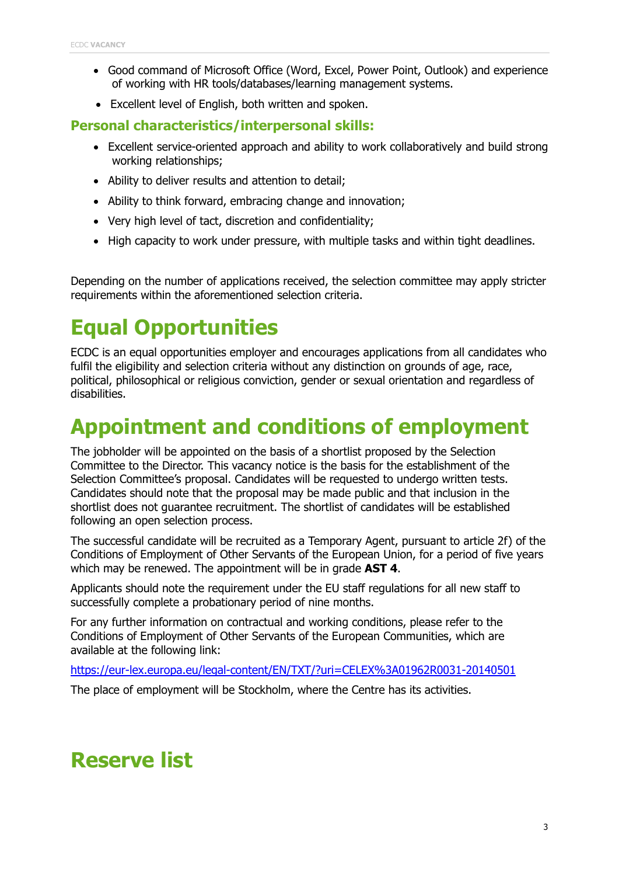- Good command of Microsoft Office (Word, Excel, Power Point, Outlook) and experience of working with HR tools/databases/learning management systems.
- Excellent level of English, both written and spoken.

#### **Personal characteristics/interpersonal skills:**

- Excellent service-oriented approach and ability to work collaboratively and build strong working relationships;
- Ability to deliver results and attention to detail;
- Ability to think forward, embracing change and innovation;
- Very high level of tact, discretion and confidentiality;
- High capacity to work under pressure, with multiple tasks and within tight deadlines.

Depending on the number of applications received, the selection committee may apply stricter requirements within the aforementioned selection criteria.

# **Equal Opportunities**

ECDC is an equal opportunities employer and encourages applications from all candidates who fulfil the eligibility and selection criteria without any distinction on grounds of age, race, political, philosophical or religious conviction, gender or sexual orientation and regardless of disabilities.

### **Appointment and conditions of employment**

The jobholder will be appointed on the basis of a shortlist proposed by the Selection Committee to the Director. This vacancy notice is the basis for the establishment of the Selection Committee's proposal. Candidates will be requested to undergo written tests. Candidates should note that the proposal may be made public and that inclusion in the shortlist does not guarantee recruitment. The shortlist of candidates will be established following an open selection process.

The successful candidate will be recruited as a Temporary Agent, pursuant to article 2f) of the Conditions of Employment of Other Servants of the European Union, for a period of five years which may be renewed. The appointment will be in grade **AST 4**.

Applicants should note the requirement under the EU staff regulations for all new staff to successfully complete a probationary period of nine months.

For any further information on contractual and working conditions, please refer to the Conditions of Employment of Other Servants of the European Communities, which are available at the following link:

<https://eur-lex.europa.eu/legal-content/EN/TXT/?uri=CELEX%3A01962R0031-20140501>

The place of employment will be Stockholm, where the Centre has its activities.

## **Reserve list**